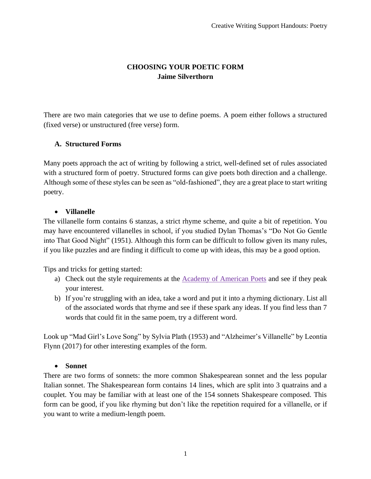# **CHOOSING YOUR POETIC FORM Jaime Silverthorn**

There are two main categories that we use to define poems. A poem either follows a structured (fixed verse) or unstructured (free verse) form.

## **A. Structured Forms**

Many poets approach the act of writing by following a strict, well-defined set of rules associated with a structured form of poetry. Structured forms can give poets both direction and a challenge. Although some of these styles can be seen as "old-fashioned", they are a great place to start writing poetry.

## • **Villanelle**

The villanelle form contains 6 stanzas, a strict rhyme scheme, and quite a bit of repetition. You may have encountered villanelles in school, if you studied Dylan Thomas's "Do Not Go Gentle into That Good Night" (1951). Although this form can be difficult to follow given its many rules, if you like puzzles and are finding it difficult to come up with ideas, this may be a good option.

Tips and tricks for getting started:

- a) Check out the style requirements at the [Academy of American Poets](https://poets.org/glossary/villanelle) and see if they peak your interest.
- b) If you're struggling with an idea, take a word and put it into a rhyming dictionary. List all of the associated words that rhyme and see if these spark any ideas. If you find less than 7 words that could fit in the same poem, try a different word.

Look up "Mad Girl's Love Song" by Sylvia Plath (1953) and "Alzheimer's Villanelle" by Leontia Flynn (2017) for other interesting examples of the form.

### • **Sonnet**

There are two forms of sonnets: the more common Shakespearean sonnet and the less popular Italian sonnet. The Shakespearean form contains 14 lines, which are split into 3 quatrains and a couplet. You may be familiar with at least one of the 154 sonnets Shakespeare composed. This form can be good, if you like rhyming but don't like the repetition required for a villanelle, or if you want to write a medium-length poem.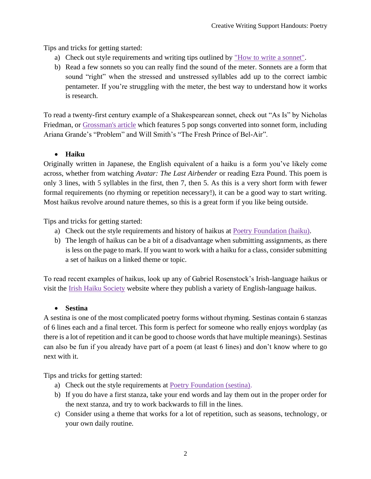Tips and tricks for getting started:

- a) Check out style requirements and writing tips outlined by ["How to write a sonnet".](https://www.nosweatshakespeare.com/sonnets/how-to-write-a-sonnet/)
- b) Read a few sonnets so you can really find the sound of the meter. Sonnets are a form that sound "right" when the stressed and unstressed syllables add up to the correct iambic pentameter. If you're struggling with the meter, the best way to understand how it works is research.

To read a twenty-first century example of a Shakespearean sonnet, check out "As Is" by Nicholas Friedman, or [Grossman's article](https://time.com/3221987/pop-songs-as-shakespearean-sonnets-tumblr/) which features 5 pop songs converted into sonnet form, including Ariana Grande's "Problem" and Will Smith's "The Fresh Prince of Bel-Air".

# • **Haiku**

Originally written in Japanese, the English equivalent of a haiku is a form you've likely come across, whether from watching *Avatar: The Last Airbender* or reading Ezra Pound. This poem is only 3 lines, with 5 syllables in the first, then 7, then 5. As this is a very short form with fewer formal requirements (no rhyming or repetition necessary!), it can be a good way to start writing. Most haikus revolve around nature themes, so this is a great form if you like being outside.

Tips and tricks for getting started:

- a) Check out the style requirements and history of haikus at [Poetry Foundation \(haiku\).](https://www.poetryfoundation.org/learn/glossary-terms/haiku-or-hokku)
- b) The length of haikus can be a bit of a disadvantage when submitting assignments, as there is less on the page to mark. If you want to work with a haiku for a class, consider submitting a set of haikus on a linked theme or topic.

To read recent examples of haikus, look up any of Gabriel Rosenstock's Irish-language haikus or visit the [Irish Haiku Society](https://irishhaiku.webs.com/yesterdayandtoday.htm) website where they publish a variety of English-language haikus.

# • **Sestina**

A sestina is one of the most complicated poetry forms without rhyming. Sestinas contain 6 stanzas of 6 lines each and a final tercet. This form is perfect for someone who really enjoys wordplay (as there is a lot of repetition and it can be good to choose words that have multiple meanings). Sestinas can also be fun if you already have part of a poem (at least 6 lines) and don't know where to go next with it.

Tips and tricks for getting started:

- a) Check out the style requirements at [Poetry Foundation \(sestina\).](https://www.poetryfoundation.org/learn/glossary-terms/sestina)
- b) If you do have a first stanza, take your end words and lay them out in the proper order for the next stanza, and try to work backwards to fill in the lines.
- c) Consider using a theme that works for a lot of repetition, such as seasons, technology, or your own daily routine.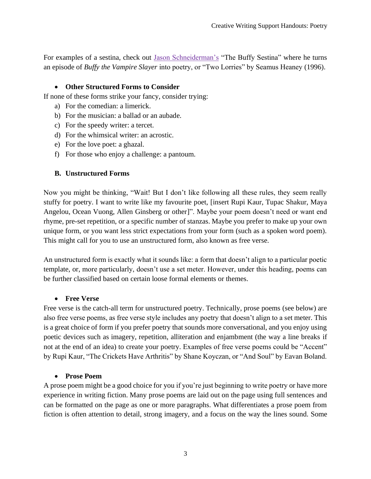For examples of a sestina, check out [Jason Schneiderman's](http://www.mcsweeneys.net/articles/the-buffy-sestina) "The Buffy Sestina" where he turns an episode of *Buffy the Vampire Slayer* into poetry, or "Two Lorries" by Seamus Heaney (1996).

### • **Other Structured Forms to Consider**

If none of these forms strike your fancy, consider trying:

- a) For the comedian: a limerick.
- b) For the musician: a ballad or an aubade.
- c) For the speedy writer: a tercet.
- d) For the whimsical writer: an acrostic.
- e) For the love poet: a ghazal.
- f) For those who enjoy a challenge: a pantoum.

## **B. Unstructured Forms**

Now you might be thinking, "Wait! But I don't like following all these rules, they seem really stuffy for poetry. I want to write like my favourite poet, [insert Rupi Kaur, Tupac Shakur, Maya Angelou, Ocean Vuong, Allen Ginsberg or other]". Maybe your poem doesn't need or want end rhyme, pre-set repetition, or a specific number of stanzas. Maybe you prefer to make up your own unique form, or you want less strict expectations from your form (such as a spoken word poem). This might call for you to use an unstructured form, also known as free verse.

An unstructured form is exactly what it sounds like: a form that doesn't align to a particular poetic template, or, more particularly, doesn't use a set meter. However, under this heading, poems can be further classified based on certain loose formal elements or themes.

### • **Free Verse**

Free verse is the catch-all term for unstructured poetry. Technically, prose poems (see below) are also free verse poems, as free verse style includes any poetry that doesn't align to a set meter. This is a great choice of form if you prefer poetry that sounds more conversational, and you enjoy using poetic devices such as imagery, repetition, alliteration and enjambment (the way a line breaks if not at the end of an idea) to create your poetry. Examples of free verse poems could be "Accent" by Rupi Kaur, "The Crickets Have Arthritis" by Shane Koyczan, or "And Soul" by Eavan Boland.

### • **Prose Poem**

A prose poem might be a good choice for you if you're just beginning to write poetry or have more experience in writing fiction. Many prose poems are laid out on the page using full sentences and can be formatted on the page as one or more paragraphs. What differentiates a prose poem from fiction is often attention to detail, strong imagery, and a focus on the way the lines sound. Some